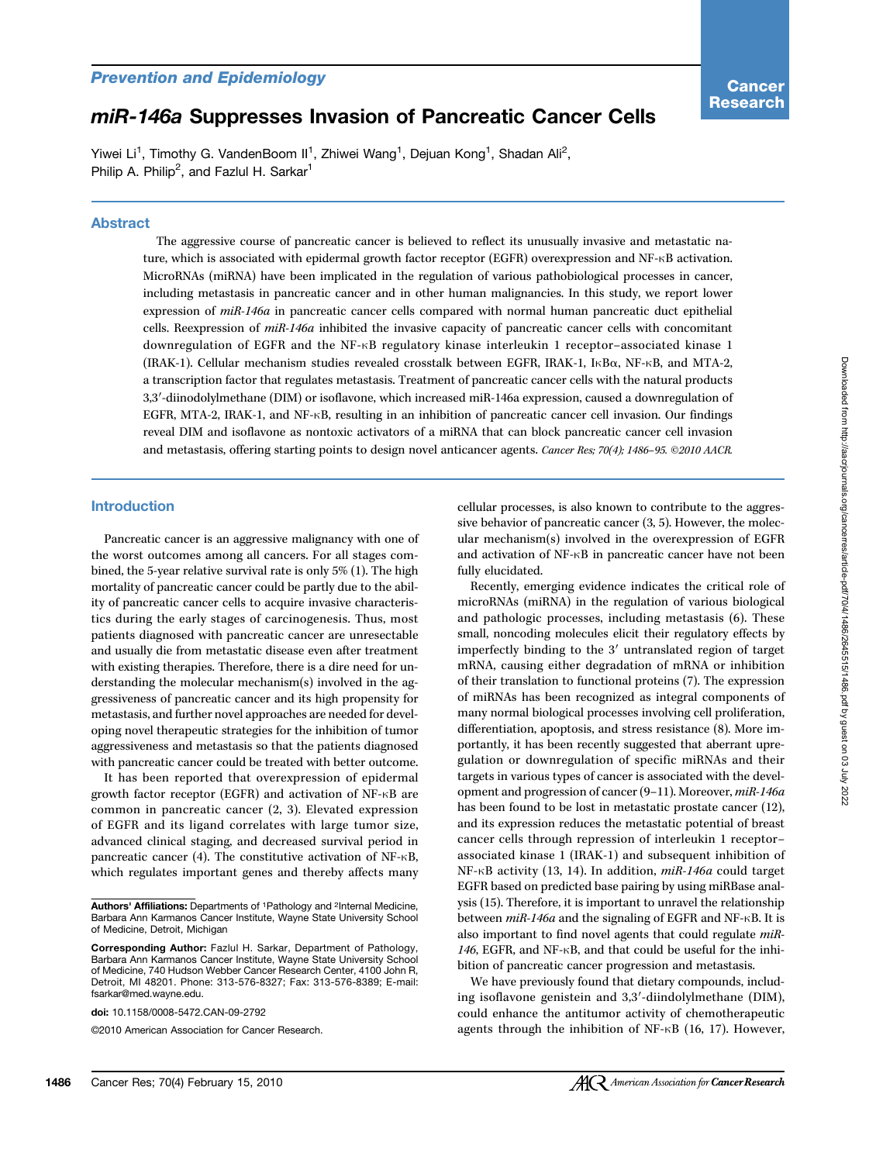# miR-146a Suppresses Invasion of Pancreatic Cancer Cells

Yiwei Li<sup>1</sup>, Timothy G. VandenBoom II<sup>1</sup>, Zhiwei Wang<sup>1</sup>, Dejuan Kong<sup>1</sup>, Shadan Ali<sup>2</sup>, Philip A. Philip<sup>2</sup>, and Fazlul H. Sarkar<sup>1</sup>

## Abstract

The aggressive course of pancreatic cancer is believed to reflect its unusually invasive and metastatic nature, which is associated with epidermal growth factor receptor (EGFR) overexpression and NF-κB activation. MicroRNAs (miRNA) have been implicated in the regulation of various pathobiological processes in cancer, including metastasis in pancreatic cancer and in other human malignancies. In this study, we report lower expression of miR-146a in pancreatic cancer cells compared with normal human pancreatic duct epithelial cells. Reexpression of miR-146a inhibited the invasive capacity of pancreatic cancer cells with concomitant downregulation of EGFR and the NF-κB regulatory kinase interleukin 1 receptor–associated kinase 1 (IRAK-1). Cellular mechanism studies revealed crosstalk between EGFR, IRAK-1, IκBα, NF-κB, and MTA-2, a transcription factor that regulates metastasis. Treatment of pancreatic cancer cells with the natural products 3,3′-diinodolylmethane (DIM) or isoflavone, which increased miR-146a expression, caused a downregulation of EGFR, MTA-2, IRAK-1, and NF-κB, resulting in an inhibition of pancreatic cancer cell invasion. Our findings reveal DIM and isoflavone as nontoxic activators of a miRNA that can block pancreatic cancer cell invasion and metastasis, offering starting points to design novel anticancer agents. Cancer Res; 70(4); 1486-95. ©2010 AACR.

## Introduction

Pancreatic cancer is an aggressive malignancy with one of the worst outcomes among all cancers. For all stages combined, the 5-year relative survival rate is only 5% (1). The high mortality of pancreatic cancer could be partly due to the ability of pancreatic cancer cells to acquire invasive characteristics during the early stages of carcinogenesis. Thus, most patients diagnosed with pancreatic cancer are unresectable and usually die from metastatic disease even after treatment with existing therapies. Therefore, there is a dire need for understanding the molecular mechanism(s) involved in the aggressiveness of pancreatic cancer and its high propensity for metastasis, and further novel approaches are needed for developing novel therapeutic strategies for the inhibition of tumor aggressiveness and metastasis so that the patients diagnosed with pancreatic cancer could be treated with better outcome.

It has been reported that overexpression of epidermal growth factor receptor (EGFR) and activation of NF-κB are common in pancreatic cancer (2, 3). Elevated expression of EGFR and its ligand correlates with large tumor size, advanced clinical staging, and decreased survival period in pancreatic cancer (4). The constitutive activation of NF-κB, which regulates important genes and thereby affects many

doi: 10.1158/0008-5472.CAN-09-2792

©2010 American Association for Cancer Research.

cellular processes, is also known to contribute to the aggressive behavior of pancreatic cancer (3, 5). However, the molecular mechanism(s) involved in the overexpression of EGFR and activation of NF-κB in pancreatic cancer have not been fully elucidated.

Recently, emerging evidence indicates the critical role of microRNAs (miRNA) in the regulation of various biological and pathologic processes, including metastasis (6). These small, noncoding molecules elicit their regulatory effects by imperfectly binding to the 3′ untranslated region of target mRNA, causing either degradation of mRNA or inhibition of their translation to functional proteins (7). The expression of miRNAs has been recognized as integral components of many normal biological processes involving cell proliferation, differentiation, apoptosis, and stress resistance (8). More importantly, it has been recently suggested that aberrant upregulation or downregulation of specific miRNAs and their targets in various types of cancer is associated with the development and progression of cancer (9–11). Moreover, miR-146a has been found to be lost in metastatic prostate cancer (12), and its expression reduces the metastatic potential of breast cancer cells through repression of interleukin 1 receptor– associated kinase 1 (IRAK-1) and subsequent inhibition of NF-κB activity (13, 14). In addition, miR-146a could target EGFR based on predicted base pairing by using miRBase analysis (15). Therefore, it is important to unravel the relationship between miR-146a and the signaling of EGFR and NF-κB. It is also important to find novel agents that could regulate miR-146, EGFR, and NF-κB, and that could be useful for the inhibition of pancreatic cancer progression and metastasis.

We have previously found that dietary compounds, including isoflavone genistein and 3,3′-diindolylmethane (DIM), could enhance the antitumor activity of chemotherapeutic agents through the inhibition of NF-κB (16, 17). However,

Authors' Affiliations: Departments of <sup>1</sup>Pathology and <sup>2</sup>Internal Medicine, Barbara Ann Karmanos Cancer Institute, Wayne State University School of Medicine, Detroit, Michigan

Corresponding Author: Fazlul H. Sarkar, Department of Pathology, Barbara Ann Karmanos Cancer Institute, Wayne State University School of Medicine, 740 Hudson Webber Cancer Research Center, 4100 John R, Detroit, MI 48201. Phone: 313-576-8327; Fax: 313-576-8389; E-mail: fsarkar@med.wayne.edu.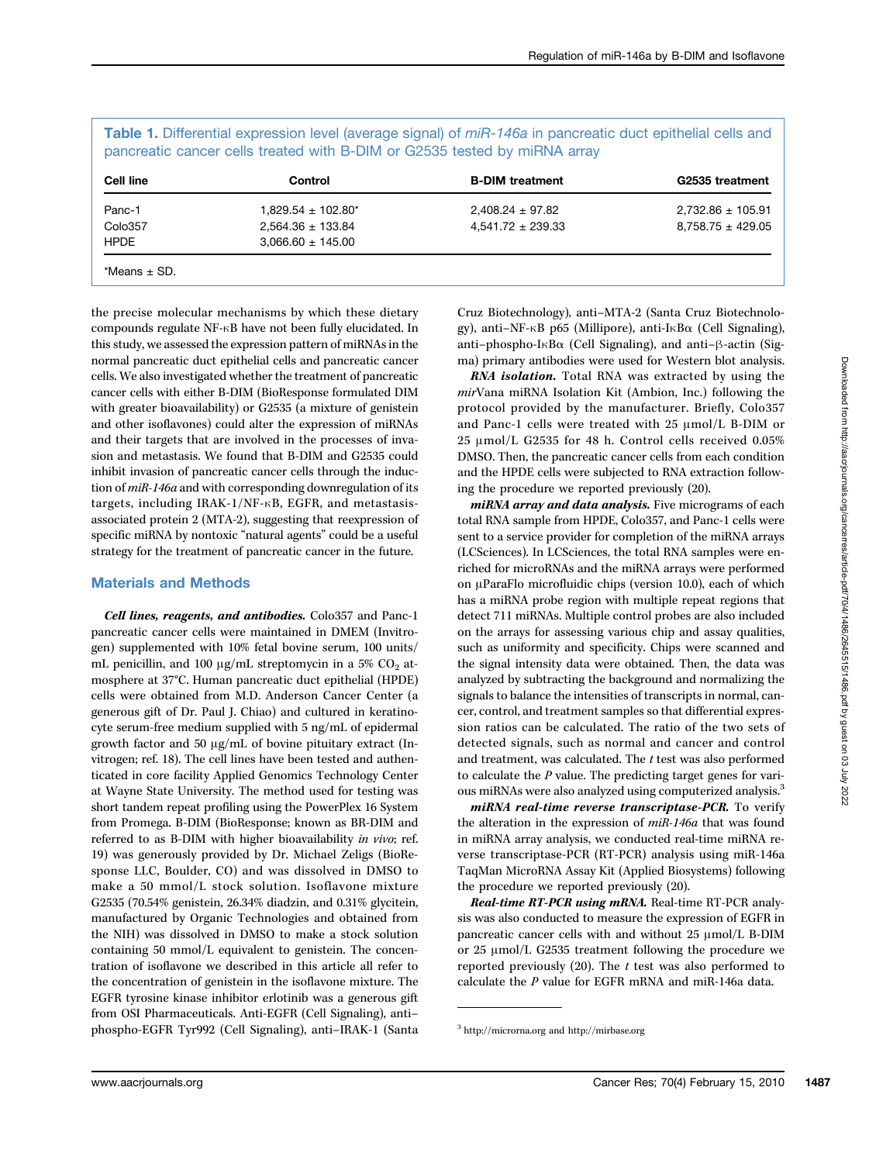| $1,829.54 \pm 102.80^*$<br>Panc-1    |                       |                       |
|--------------------------------------|-----------------------|-----------------------|
|                                      | $2,408.24 \pm 97.82$  | $2,732.86 \pm 105.91$ |
| Colo357<br>$2,564.36 \pm 133.84$     | $4,541.72 \pm 239.33$ | $8,758.75 \pm 429.05$ |
| $3.066.60 \pm 145.00$<br><b>HPDE</b> |                       |                       |

Table 1. Differential expression level (average signal) of miR-146a in pancreatic duct epithelial cells and pancreatic cancer cells treated with B-DIM or G2535 tested by miRNA array

the precise molecular mechanisms by which these dietary compounds regulate NF-κB have not been fully elucidated. In this study, we assessed the expression pattern of miRNAs in the normal pancreatic duct epithelial cells and pancreatic cancer cells. We also investigated whether the treatment of pancreatic cancer cells with either B-DIM (BioResponse formulated DIM with greater bioavailability) or G2535 (a mixture of genistein and other isoflavones) could alter the expression of miRNAs and their targets that are involved in the processes of invasion and metastasis. We found that B-DIM and G2535 could inhibit invasion of pancreatic cancer cells through the induction of miR-146a and with corresponding downregulation of its targets, including IRAK-1/NF-κB, EGFR, and metastasisassociated protein 2 (MTA-2), suggesting that reexpression of specific miRNA by nontoxic "natural agents" could be a useful strategy for the treatment of pancreatic cancer in the future.

# Materials and Methods

Cell lines, reagents, and antibodies. Colo357 and Panc-1 pancreatic cancer cells were maintained in DMEM (Invitrogen) supplemented with 10% fetal bovine serum, 100 units/ mL penicillin, and 100  $\mu$ g/mL streptomycin in a 5% CO<sub>2</sub> atmosphere at 37°C. Human pancreatic duct epithelial (HPDE) cells were obtained from M.D. Anderson Cancer Center (a generous gift of Dr. Paul J. Chiao) and cultured in keratinocyte serum-free medium supplied with 5 ng/mL of epidermal growth factor and 50 μg/mL of bovine pituitary extract (Invitrogen; ref. 18). The cell lines have been tested and authenticated in core facility Applied Genomics Technology Center at Wayne State University. The method used for testing was short tandem repeat profiling using the PowerPlex 16 System from Promega. B-DIM (BioResponse; known as BR-DIM and referred to as B-DIM with higher bioavailability in vivo; ref. 19) was generously provided by Dr. Michael Zeligs (BioResponse LLC, Boulder, CO) and was dissolved in DMSO to make a 50 mmol/L stock solution. Isoflavone mixture G2535 (70.54% genistein, 26.34% diadzin, and 0.31% glycitein, manufactured by Organic Technologies and obtained from the NIH) was dissolved in DMSO to make a stock solution containing 50 mmol/L equivalent to genistein. The concentration of isoflavone we described in this article all refer to the concentration of genistein in the isoflavone mixture. The EGFR tyrosine kinase inhibitor erlotinib was a generous gift from OSI Pharmaceuticals. Anti-EGFR (Cell Signaling), anti– phospho-EGFR Tyr992 (Cell Signaling), anti–IRAK-1 (Santa Cruz Biotechnology), anti–MTA-2 (Santa Cruz Biotechnology), anti–NF-κB p65 (Millipore), anti-IκBα (Cell Signaling), anti–phospho-IκBα (Cell Signaling), and anti–β-actin (Sigma) primary antibodies were used for Western blot analysis.

RNA isolation. Total RNA was extracted by using the mirVana miRNA Isolation Kit (Ambion, Inc.) following the protocol provided by the manufacturer. Briefly, Colo357 and Panc-1 cells were treated with 25 μmol/L B-DIM or 25 μmol/L G2535 for 48 h. Control cells received 0.05% DMSO. Then, the pancreatic cancer cells from each condition and the HPDE cells were subjected to RNA extraction following the procedure we reported previously (20).

miRNA array and data analysis. Five micrograms of each total RNA sample from HPDE, Colo357, and Panc-1 cells were sent to a service provider for completion of the miRNA arrays (LCSciences). In LCSciences, the total RNA samples were enriched for microRNAs and the miRNA arrays were performed on μParaFlo microfluidic chips (version 10.0), each of which has a miRNA probe region with multiple repeat regions that detect 711 miRNAs. Multiple control probes are also included on the arrays for assessing various chip and assay qualities, such as uniformity and specificity. Chips were scanned and the signal intensity data were obtained. Then, the data was analyzed by subtracting the background and normalizing the signals to balance the intensities of transcripts in normal, cancer, control, and treatment samples so that differential expression ratios can be calculated. The ratio of the two sets of detected signals, such as normal and cancer and control and treatment, was calculated. The  $t$  test was also performed to calculate the P value. The predicting target genes for various miRNAs were also analyzed using computerized analysis.<sup>3</sup>

miRNA real-time reverse transcriptase-PCR. To verify the alteration in the expression of miR-146a that was found in miRNA array analysis, we conducted real-time miRNA reverse transcriptase-PCR (RT-PCR) analysis using miR-146a TaqMan MicroRNA Assay Kit (Applied Biosystems) following the procedure we reported previously (20).

Real-time RT-PCR using mRNA. Real-time RT-PCR analysis was also conducted to measure the expression of EGFR in pancreatic cancer cells with and without 25 μmol/L B-DIM or 25 μmol/L G2535 treatment following the procedure we reported previously  $(20)$ . The t test was also performed to calculate the P value for EGFR mRNA and miR-146a data.

<sup>3</sup> http://microrna.org and http://mirbase.org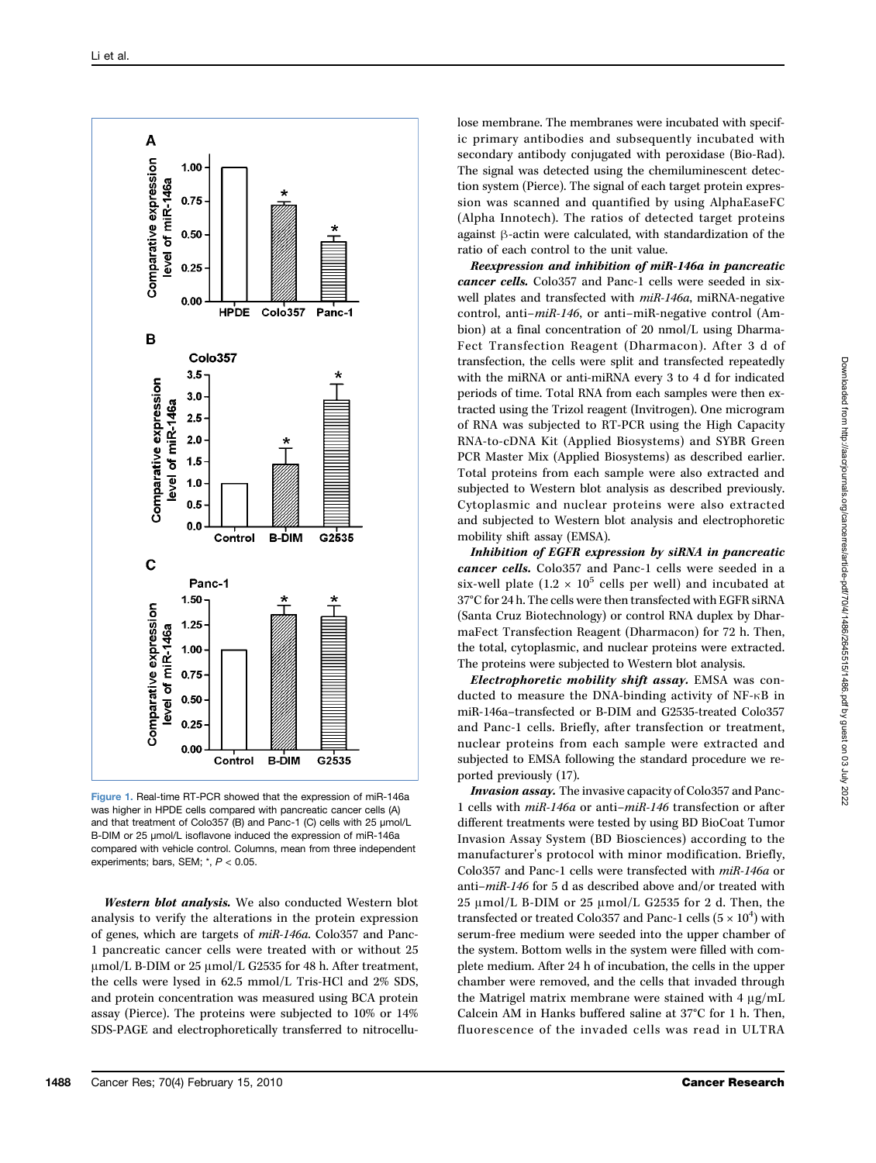

Figure 1. Real-time RT-PCR showed that the expression of miR-146a was higher in HPDE cells compared with pancreatic cancer cells (A) and that treatment of Colo357 (B) and Panc-1 (C) cells with 25 μmol/L B-DIM or 25 μmol/L isoflavone induced the expression of miR-146a compared with vehicle control. Columns, mean from three independent experiments; bars, SEM; \*, P < 0.05.

Western blot analysis. We also conducted Western blot analysis to verify the alterations in the protein expression of genes, which are targets of miR-146a. Colo357 and Panc-1 pancreatic cancer cells were treated with or without 25 μmol/L B-DIM or 25 μmol/L G2535 for 48 h. After treatment, the cells were lysed in 62.5 mmol/L Tris-HCl and 2% SDS, and protein concentration was measured using BCA protein assay (Pierce). The proteins were subjected to 10% or 14% SDS-PAGE and electrophoretically transferred to nitrocellu-

lose membrane. The membranes were incubated with specific primary antibodies and subsequently incubated with secondary antibody conjugated with peroxidase (Bio-Rad). The signal was detected using the chemiluminescent detection system (Pierce). The signal of each target protein expression was scanned and quantified by using AlphaEaseFC (Alpha Innotech). The ratios of detected target proteins against β-actin were calculated, with standardization of the ratio of each control to the unit value.

Reexpression and inhibition of miR-146a in pancreatic cancer cells. Colo357 and Panc-1 cells were seeded in sixwell plates and transfected with miR-146a, miRNA-negative control, anti–miR-146, or anti–miR-negative control (Ambion) at a final concentration of 20 nmol/L using Dharma-Fect Transfection Reagent (Dharmacon). After 3 d of transfection, the cells were split and transfected repeatedly with the miRNA or anti-miRNA every 3 to 4 d for indicated periods of time. Total RNA from each samples were then extracted using the Trizol reagent (Invitrogen). One microgram of RNA was subjected to RT-PCR using the High Capacity RNA-to-cDNA Kit (Applied Biosystems) and SYBR Green PCR Master Mix (Applied Biosystems) as described earlier. Total proteins from each sample were also extracted and subjected to Western blot analysis as described previously. Cytoplasmic and nuclear proteins were also extracted and subjected to Western blot analysis and electrophoretic mobility shift assay (EMSA).

Inhibition of EGFR expression by siRNA in pancreatic cancer cells. Colo357 and Panc-1 cells were seeded in a six-well plate  $(1.2 \times 10^5 \text{ cells per well})$  and incubated at 37°C for 24 h. The cells were then transfected with EGFR siRNA (Santa Cruz Biotechnology) or control RNA duplex by DharmaFect Transfection Reagent (Dharmacon) for 72 h. Then, the total, cytoplasmic, and nuclear proteins were extracted. The proteins were subjected to Western blot analysis.

Electrophoretic mobility shift assay. EMSA was conducted to measure the DNA-binding activity of NF-κB in miR-146a–transfected or B-DIM and G2535-treated Colo357 and Panc-1 cells. Briefly, after transfection or treatment, nuclear proteins from each sample were extracted and subjected to EMSA following the standard procedure we reported previously (17).

Invasion assay. The invasive capacity of Colo357 and Panc-1 cells with miR-146a or anti–miR-146 transfection or after different treatments were tested by using BD BioCoat Tumor Invasion Assay System (BD Biosciences) according to the manufacturer's protocol with minor modification. Briefly, Colo357 and Panc-1 cells were transfected with miR-146a or anti–miR-146 for 5 d as described above and/or treated with 25 μmol/L B-DIM or 25 μmol/L G2535 for 2 d. Then, the transfected or treated Colo357 and Panc-1 cells  $(5 \times 10^4)$  with serum-free medium were seeded into the upper chamber of the system. Bottom wells in the system were filled with complete medium. After 24 h of incubation, the cells in the upper chamber were removed, and the cells that invaded through the Matrigel matrix membrane were stained with 4 μg/mL Calcein AM in Hanks buffered saline at 37°C for 1 h. Then, fluorescence of the invaded cells was read in ULTRA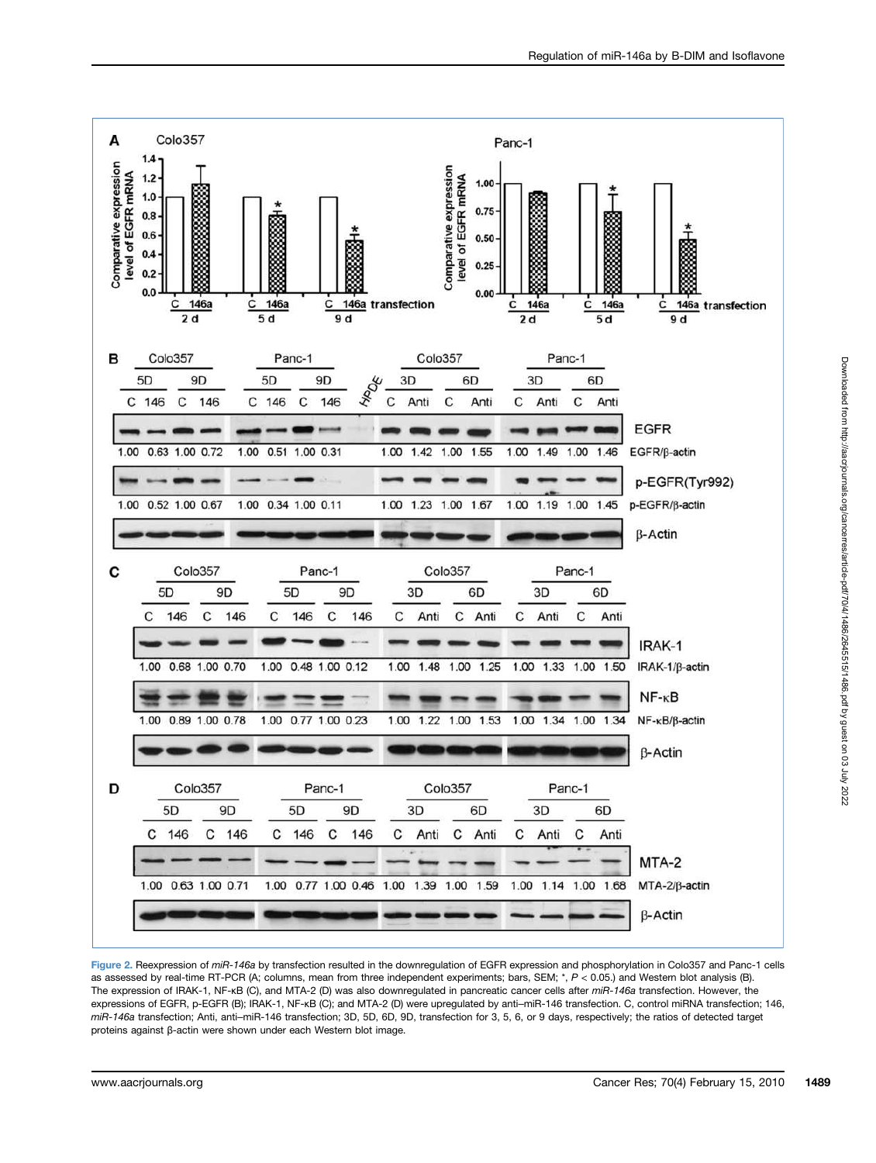

Figure 2. Reexpression of miR-146a by transfection resulted in the downregulation of EGFR expression and phosphorylation in Colo357 and Panc-1 cells as assessed by real-time RT-PCR (A; columns, mean from three independent experiments; bars, SEM; \*, P < 0.05.) and Western blot analysis (B). The expression of IRAK-1, NF-kB (C), and MTA-2 (D) was also downregulated in pancreatic cancer cells after miR-146a transfection. However, the expressions of EGFR, p-EGFR (B); IRAK-1, NF-κB (C); and MTA-2 (D) were upregulated by anti–miR-146 transfection. C, control miRNA transfection; 146, miR-146a transfection; Anti, anti–miR-146 transfection; 3D, 5D, 6D, 9D, transfection for 3, 5, 6, or 9 days, respectively; the ratios of detected target proteins against β-actin were shown under each Western blot image.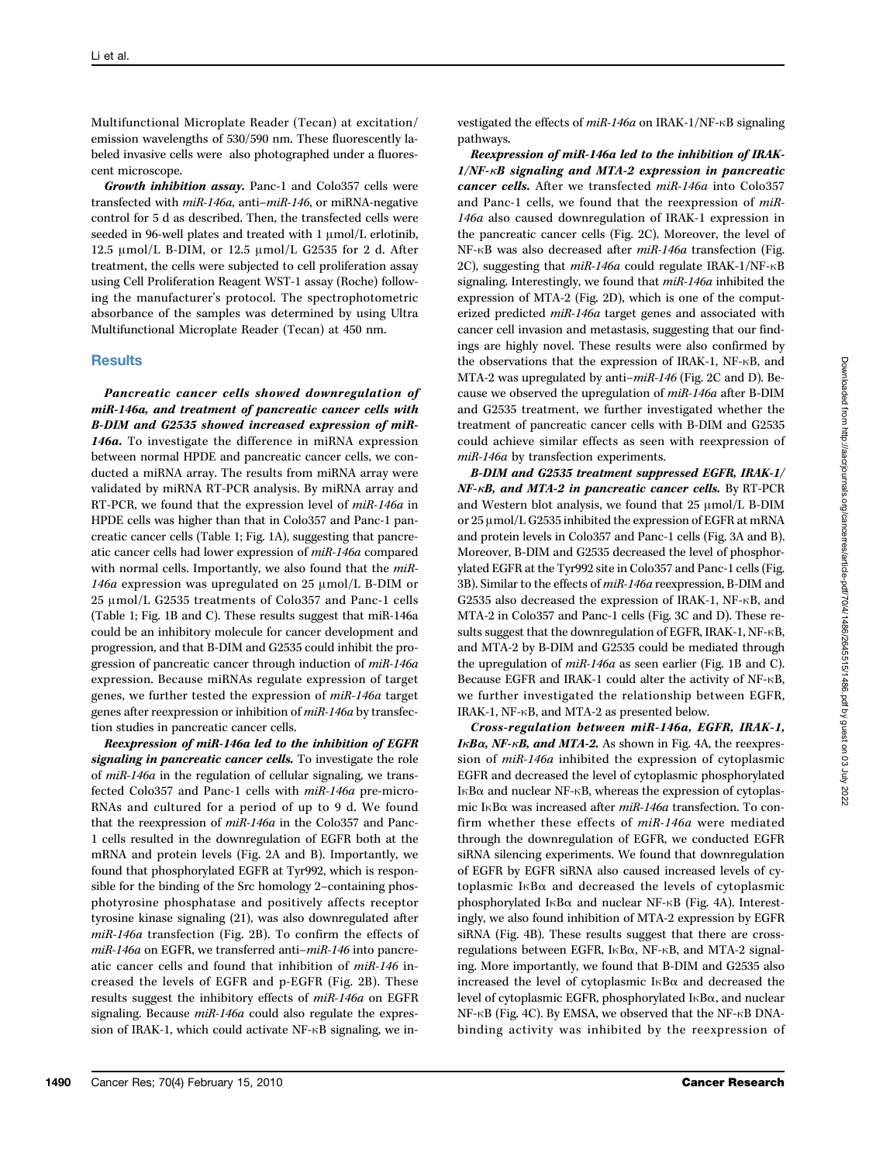Multifunctional Microplate Reader (Tecan) at excitation/ emission wavelengths of 530/590 nm. These fluorescently labeled invasive cells were also photographed under a fluorescent microscope.

Growth inhibition assay. Panc-1 and Colo357 cells were transfected with miR-146a, anti–miR-146, or miRNA-negative control for 5 d as described. Then, the transfected cells were seeded in 96-well plates and treated with 1 μmol/L erlotinib, 12.5 μmol/L B-DIM, or 12.5 μmol/L G2535 for 2 d. After treatment, the cells were subjected to cell proliferation assay using Cell Proliferation Reagent WST-1 assay (Roche) following the manufacturer's protocol. The spectrophotometric absorbance of the samples was determined by using Ultra Multifunctional Microplate Reader (Tecan) at 450 nm.

# **Results**

Pancreatic cancer cells showed downregulation of miR-146a, and treatment of pancreatic cancer cells with B-DIM and G2535 showed increased expression of miR-146a. To investigate the difference in miRNA expression between normal HPDE and pancreatic cancer cells, we conducted a miRNA array. The results from miRNA array were validated by miRNA RT-PCR analysis. By miRNA array and RT-PCR, we found that the expression level of miR-146a in HPDE cells was higher than that in Colo357 and Panc-1 pancreatic cancer cells (Table 1; Fig. 1A), suggesting that pancreatic cancer cells had lower expression of miR-146a compared with normal cells. Importantly, we also found that the  $miR$ -146a expression was upregulated on 25 μmol/L B-DIM or 25 μmol/L G2535 treatments of Colo357 and Panc-1 cells (Table 1; Fig. 1B and C). These results suggest that miR-146a could be an inhibitory molecule for cancer development and progression, and that B-DIM and G2535 could inhibit the progression of pancreatic cancer through induction of miR-146a expression. Because miRNAs regulate expression of target genes, we further tested the expression of miR-146a target genes after reexpression or inhibition of miR-146a by transfection studies in pancreatic cancer cells.

Reexpression of miR-146a led to the inhibition of EGFR signaling in pancreatic cancer cells. To investigate the role of miR-146a in the regulation of cellular signaling, we transfected Colo357 and Panc-1 cells with miR-146a pre-micro-RNAs and cultured for a period of up to 9 d. We found that the reexpression of miR-146a in the Colo357 and Panc-1 cells resulted in the downregulation of EGFR both at the mRNA and protein levels (Fig. 2A and B). Importantly, we found that phosphorylated EGFR at Tyr992, which is responsible for the binding of the Src homology 2–containing phosphotyrosine phosphatase and positively affects receptor tyrosine kinase signaling (21), was also downregulated after miR-146a transfection (Fig. 2B). To confirm the effects of miR-146a on EGFR, we transferred anti-miR-146 into pancreatic cancer cells and found that inhibition of miR-146 increased the levels of EGFR and p-EGFR (Fig. 2B). These results suggest the inhibitory effects of miR-146a on EGFR signaling. Because  $miR-146a$  could also regulate the expression of IRAK-1, which could activate NF-κB signaling, we investigated the effects of miR-146a on IRAK-1/NF-κB signaling pathways.

Reexpression of miR-146a led to the inhibition of IRAK-1/NF-κB signaling and MTA-2 expression in pancreatic cancer cells. After we transfected miR-146a into Colo357 and Panc-1 cells, we found that the reexpression of miR-146a also caused downregulation of IRAK-1 expression in the pancreatic cancer cells (Fig. 2C). Moreover, the level of NF-κB was also decreased after miR-146a transfection (Fig. 2C), suggesting that  $mi-146a$  could regulate IRAK-1/NF- $\kappa$ B signaling. Interestingly, we found that miR-146a inhibited the expression of MTA-2 (Fig. 2D), which is one of the computerized predicted miR-146a target genes and associated with cancer cell invasion and metastasis, suggesting that our findings are highly novel. These results were also confirmed by the observations that the expression of IRAK-1, NF-κB, and MTA-2 was upregulated by anti–miR-146 (Fig. 2C and D). Because we observed the upregulation of miR-146a after B-DIM and G2535 treatment, we further investigated whether the treatment of pancreatic cancer cells with B-DIM and G2535 could achieve similar effects as seen with reexpression of miR-146a by transfection experiments.

B-DIM and G2535 treatment suppressed EGFR, IRAK-1/  $NF$ - $\kappa$ B, and MTA-2 in pancreatic cancer cells. By RT-PCR and Western blot analysis, we found that 25 μmol/L B-DIM or 25 μmol/L G2535 inhibited the expression of EGFR at mRNA and protein levels in Colo357 and Panc-1 cells (Fig. 3A and B). Moreover, B-DIM and G2535 decreased the level of phosphorylated EGFR at the Tyr992 site in Colo357 and Panc-1 cells (Fig. 3B). Similar to the effects of miR-146a reexpression, B-DIM and G2535 also decreased the expression of IRAK-1, NF-κB, and MTA-2 in Colo357 and Panc-1 cells (Fig. 3C and D). These results suggest that the downregulation of EGFR, IRAK-1, NF-κB, and MTA-2 by B-DIM and G2535 could be mediated through the upregulation of miR-146a as seen earlier (Fig. 1B and C). Because EGFR and IRAK-1 could alter the activity of NF-κB, we further investigated the relationship between EGFR, IRAK-1, NF-κB, and MTA-2 as presented below.

Cross-regulation between miR-146a, EGFR, IRAK-1,  $I \kappa B \alpha$ , NF- $\kappa B$ , and MTA-2. As shown in Fig. 4A, the reexpression of miR-146a inhibited the expression of cytoplasmic EGFR and decreased the level of cytoplasmic phosphorylated IκBα and nuclear NF-κB, whereas the expression of cytoplasmic IκBα was increased after *miR-146a* transfection. To confirm whether these effects of miR-146a were mediated through the downregulation of EGFR, we conducted EGFR siRNA silencing experiments. We found that downregulation of EGFR by EGFR siRNA also caused increased levels of cytoplasmic IκBα and decreased the levels of cytoplasmic phosphorylated IκBα and nuclear NF-κB (Fig. 4A). Interestingly, we also found inhibition of MTA-2 expression by EGFR siRNA (Fig. 4B). These results suggest that there are crossregulations between EGFR, IκBα, NF-κB, and MTA-2 signaling. More importantly, we found that B-DIM and G2535 also increased the level of cytoplasmic IκBα and decreased the level of cytoplasmic EGFR, phosphorylated IκBα, and nuclear NF-κB (Fig. 4C). By EMSA, we observed that the NF-κB DNAbinding activity was inhibited by the reexpression of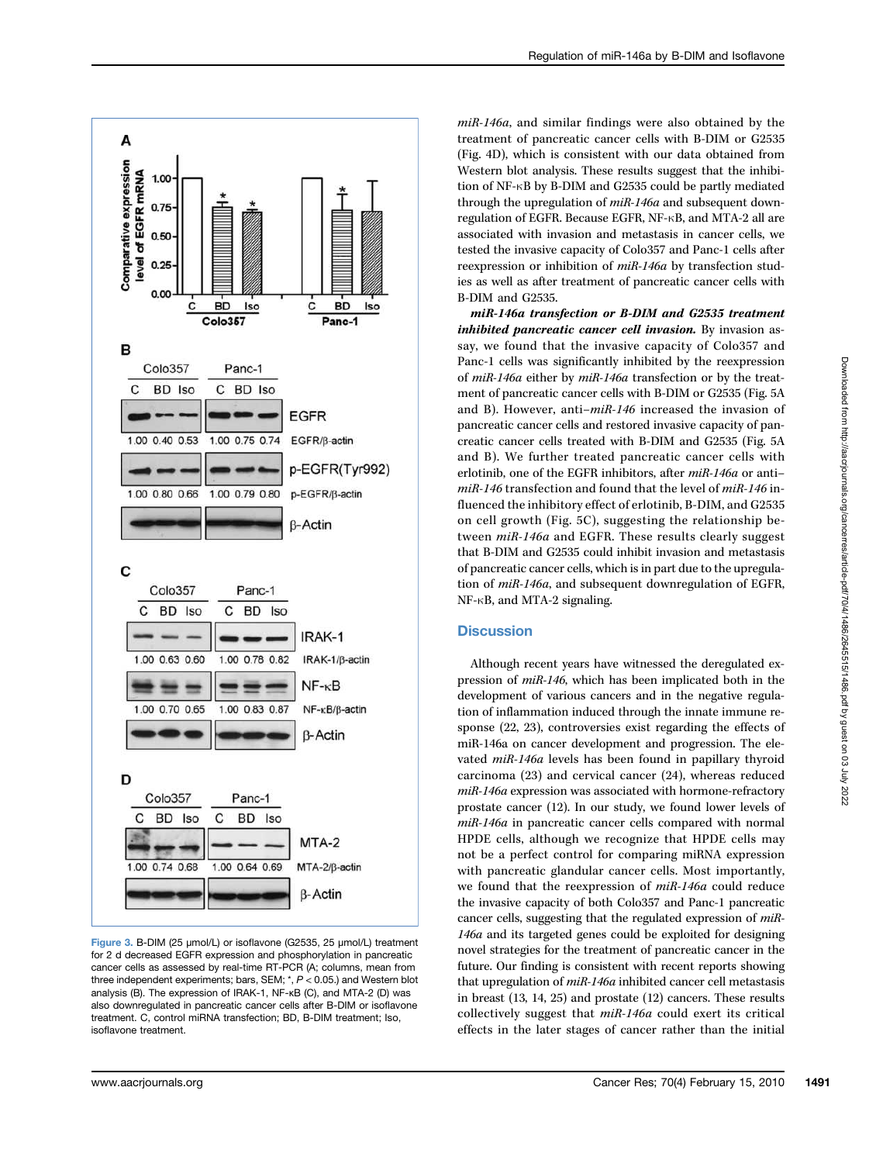

Figure 3. B-DIM (25 μmol/L) or isoflavone (G2535, 25 μmol/L) treatment for 2 d decreased EGFR expression and phosphorylation in pancreatic cancer cells as assessed by real-time RT-PCR (A; columns, mean from three independent experiments; bars, SEM; \*, P < 0.05.) and Western blot analysis (B). The expression of IRAK-1, NF-κB (C), and MTA-2 (D) was also downregulated in pancreatic cancer cells after B-DIM or isoflavone treatment. C, control miRNA transfection; BD, B-DIM treatment; Iso, isoflavone treatment.

miR-146a, and similar findings were also obtained by the treatment of pancreatic cancer cells with B-DIM or G2535 (Fig. 4D), which is consistent with our data obtained from Western blot analysis. These results suggest that the inhibition of NF-κB by B-DIM and G2535 could be partly mediated through the upregulation of  $miR-146a$  and subsequent downregulation of EGFR. Because EGFR, NF-κB, and MTA-2 all are associated with invasion and metastasis in cancer cells, we tested the invasive capacity of Colo357 and Panc-1 cells after reexpression or inhibition of miR-146a by transfection studies as well as after treatment of pancreatic cancer cells with B-DIM and G2535.

miR-146a transfection or B-DIM and G2535 treatment inhibited pancreatic cancer cell invasion. By invasion assay, we found that the invasive capacity of Colo357 and Panc-1 cells was significantly inhibited by the reexpression of miR-146a either by miR-146a transfection or by the treatment of pancreatic cancer cells with B-DIM or G2535 (Fig. 5A and B). However, anti–miR-146 increased the invasion of pancreatic cancer cells and restored invasive capacity of pancreatic cancer cells treated with B-DIM and G2535 (Fig. 5A and B). We further treated pancreatic cancer cells with erlotinib, one of the EGFR inhibitors, after miR-146a or anti– miR-146 transfection and found that the level of miR-146 influenced the inhibitory effect of erlotinib, B-DIM, and G2535 on cell growth (Fig. 5C), suggesting the relationship between miR-146a and EGFR. These results clearly suggest that B-DIM and G2535 could inhibit invasion and metastasis of pancreatic cancer cells, which is in part due to the upregulation of miR-146a, and subsequent downregulation of EGFR, NF-κB, and MTA-2 signaling.

# **Discussion**

Although recent years have witnessed the deregulated expression of miR-146, which has been implicated both in the development of various cancers and in the negative regulation of inflammation induced through the innate immune response (22, 23), controversies exist regarding the effects of miR-146a on cancer development and progression. The elevated miR-146a levels has been found in papillary thyroid carcinoma (23) and cervical cancer (24), whereas reduced miR-146a expression was associated with hormone-refractory prostate cancer (12). In our study, we found lower levels of miR-146a in pancreatic cancer cells compared with normal HPDE cells, although we recognize that HPDE cells may not be a perfect control for comparing miRNA expression with pancreatic glandular cancer cells. Most importantly, we found that the reexpression of miR-146a could reduce the invasive capacity of both Colo357 and Panc-1 pancreatic cancer cells, suggesting that the regulated expression of miR-146a and its targeted genes could be exploited for designing novel strategies for the treatment of pancreatic cancer in the future. Our finding is consistent with recent reports showing that upregulation of miR-146a inhibited cancer cell metastasis in breast (13, 14, 25) and prostate (12) cancers. These results collectively suggest that miR-146a could exert its critical effects in the later stages of cancer rather than the initial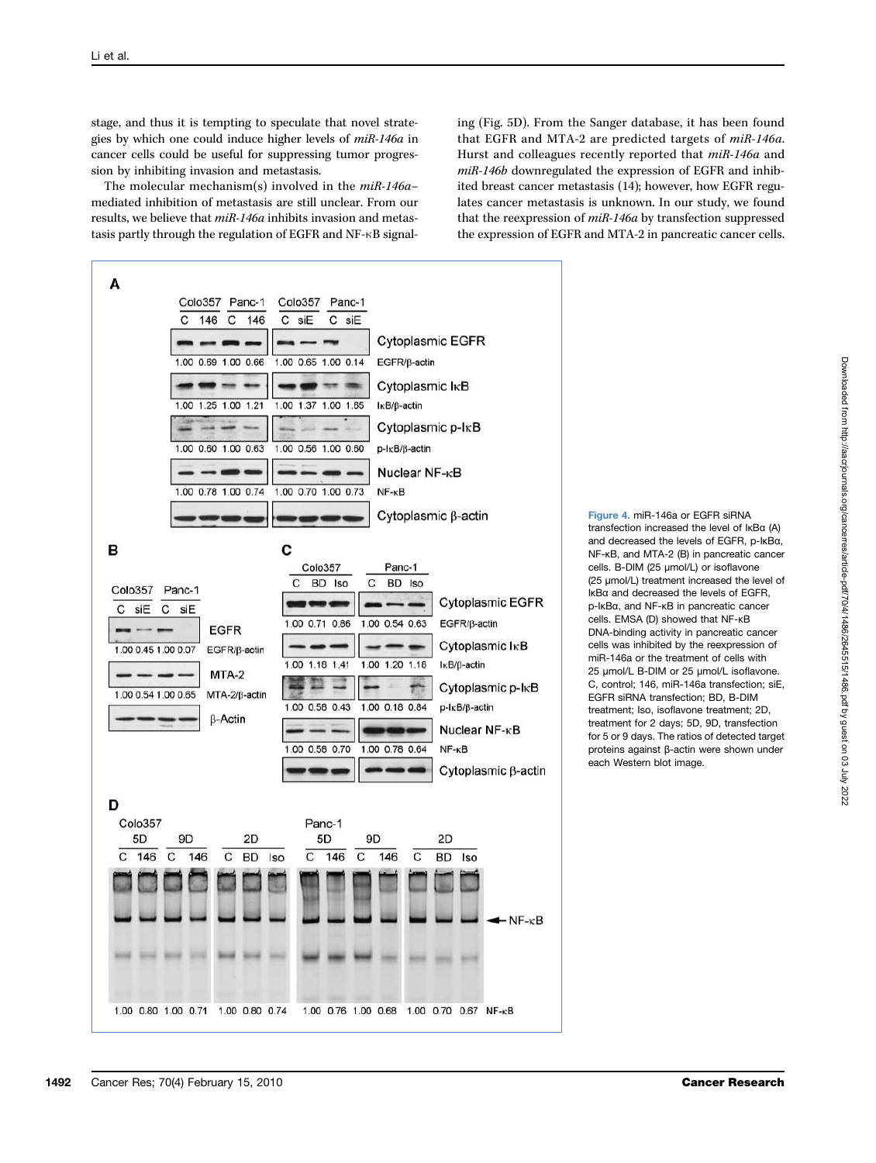stage, and thus it is tempting to speculate that novel strategies by which one could induce higher levels of miR-146a in cancer cells could be useful for suppressing tumor progression by inhibiting invasion and metastasis.

The molecular mechanism(s) involved in the miR-146a– mediated inhibition of metastasis are still unclear. From our results, we believe that miR-146a inhibits invasion and metastasis partly through the regulation of EGFR and NF-κB signal-

ing (Fig. 5D). From the Sanger database, it has been found that EGFR and MTA-2 are predicted targets of miR-146a. Hurst and colleagues recently reported that miR-146a and miR-146b downregulated the expression of EGFR and inhibited breast cancer metastasis (14); however, how EGFR regulates cancer metastasis is unknown. In our study, we found that the reexpression of miR-146a by transfection suppressed the expression of EGFR and MTA-2 in pancreatic cancer cells.



Figure 4. miR-146a or EGFR siRNA transfection increased the level of IκBα (A) and decreased the levels of EGFR, p-IκBα, NF-κB, and MTA-2 (B) in pancreatic cancer cells. B-DIM (25 μmol/L) or isoflavone (25 μmol/L) treatment increased the level of IκBα and decreased the levels of EGFR, p-IκBα, and NF-κB in pancreatic cancer cells. EMSA (D) showed that NF-κB DNA-binding activity in pancreatic cancer cells was inhibited by the reexpression of miR-146a or the treatment of cells with 25 μmol/L B-DIM or 25 μmol/L isoflavone. C, control; 146, miR-146a transfection; siE, EGFR siRNA transfection; BD, B-DIM treatment; Iso, isoflavone treatment; 2D, treatment for 2 days; 5D, 9D, transfection for 5 or 9 days. The ratios of detected target proteins against β-actin were shown under each Western blot image.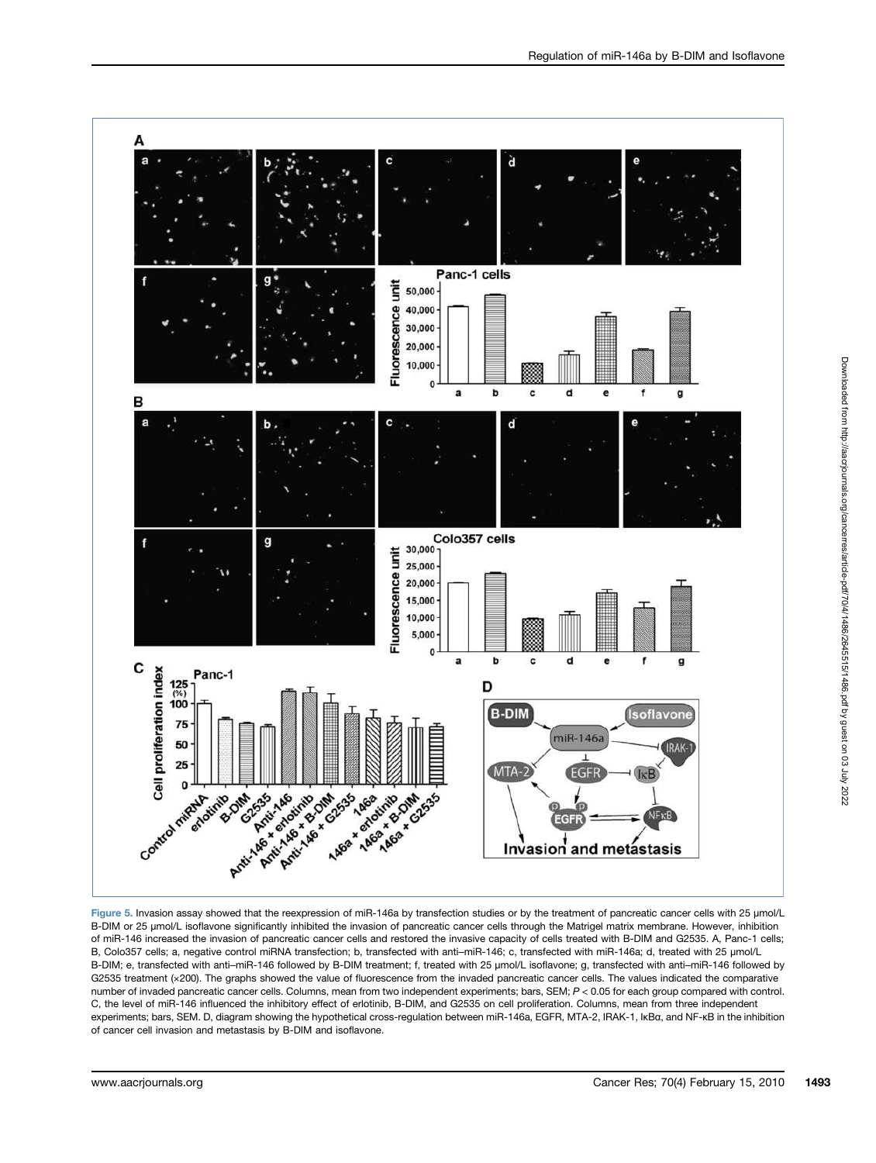

B-DIM or 25 μmol/L isoflavone significantly inhibited the invasion of pancreatic cancer cells through the Matrigel matrix membrane. However, inhibition of miR-146 increased the invasion of pancreatic cancer cells and restored the invasive capacity of cells treated with B-DIM and G2535. A, Panc-1 cells; B, Colo357 cells; a, negative control miRNA transfection; b, transfected with anti-miR-146; c, transfected with miR-146a; d, treated with 25 µmol/L B-DIM; e, transfected with anti–miR-146 followed by B-DIM treatment; f, treated with 25 µmol/L isoflavone; g, transfected with anti–miR-146 followed by G2535 treatment (x200). The graphs showed the value of fluorescence from the invaded pancreatic cancer cells. The values indicated the comparative number of invaded pancreatic cancer cells. Columns, mean from two independent experiments; bars, SEM; P < 0.05 for each group compared with control. C, the level of miR-146 influenced the inhibitory effect of erlotinib, B-DIM, and G2535 on cell proliferation. Columns, mean from three independent experiments; bars, SEM. D, diagram showing the hypothetical cross-regulation between miR-146a, EGFR, MTA-2, IRAK-1, IκBα, and NF-κB in the inhibition of cancer cell invasion and metastasis by B-DIM and isoflavone.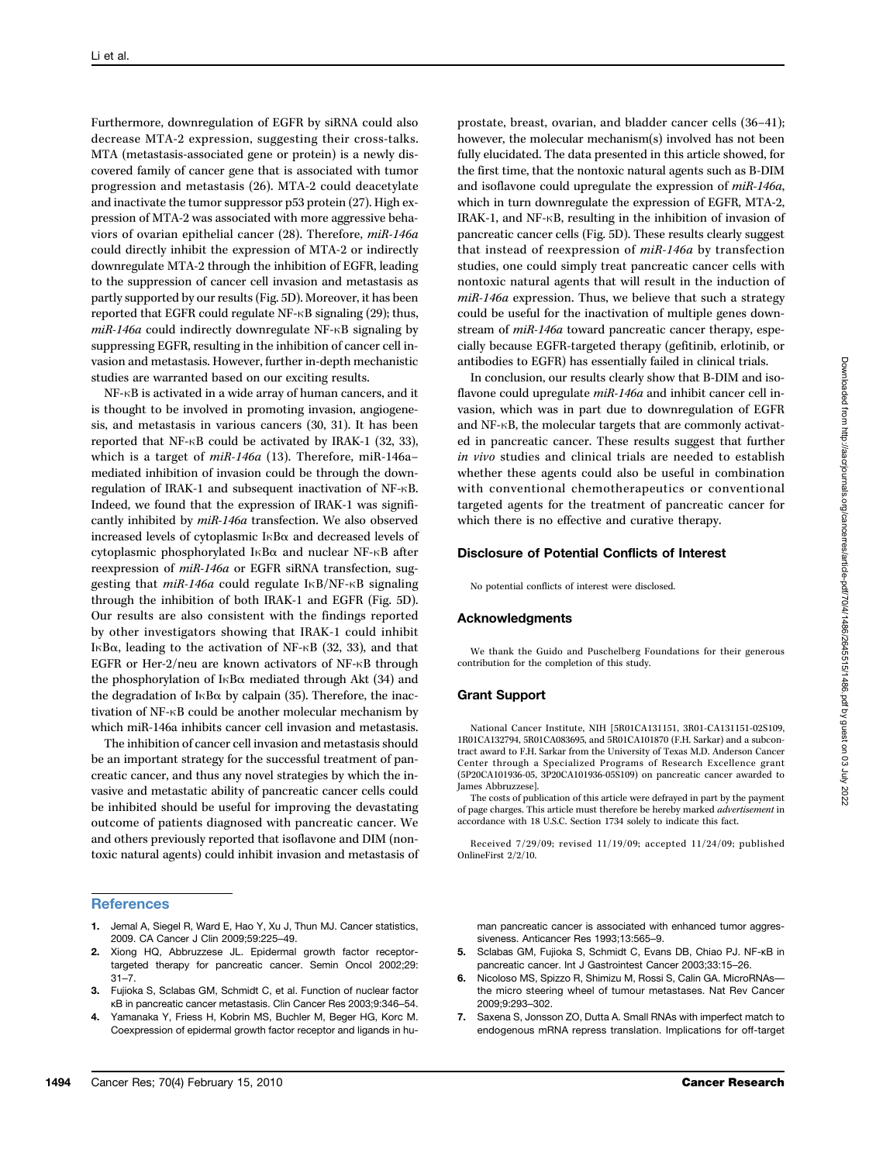Furthermore, downregulation of EGFR by siRNA could also decrease MTA-2 expression, suggesting their cross-talks. MTA (metastasis-associated gene or protein) is a newly discovered family of cancer gene that is associated with tumor progression and metastasis (26). MTA-2 could deacetylate and inactivate the tumor suppressor p53 protein (27). High expression of MTA-2 was associated with more aggressive behaviors of ovarian epithelial cancer (28). Therefore, miR-146a could directly inhibit the expression of MTA-2 or indirectly downregulate MTA-2 through the inhibition of EGFR, leading to the suppression of cancer cell invasion and metastasis as partly supported by our results (Fig. 5D). Moreover, it has been reported that EGFR could regulate NF-κB signaling (29); thus, miR-146a could indirectly downregulate NF-κB signaling by suppressing EGFR, resulting in the inhibition of cancer cell invasion and metastasis. However, further in-depth mechanistic studies are warranted based on our exciting results.

NF-κB is activated in a wide array of human cancers, and it is thought to be involved in promoting invasion, angiogenesis, and metastasis in various cancers (30, 31). It has been reported that NF-κB could be activated by IRAK-1 (32, 33), which is a target of  $miR-146a$  (13). Therefore, miR-146amediated inhibition of invasion could be through the downregulation of IRAK-1 and subsequent inactivation of NF-κB. Indeed, we found that the expression of IRAK-1 was significantly inhibited by miR-146a transfection. We also observed increased levels of cytoplasmic IκBα and decreased levels of cytoplasmic phosphorylated IκBα and nuclear NF-κB after reexpression of miR-146a or EGFR siRNA transfection, suggesting that miR-146a could regulate IκB/NF-κB signaling through the inhibition of both IRAK-1 and EGFR (Fig. 5D). Our results are also consistent with the findings reported by other investigators showing that IRAK-1 could inhibit IκBα, leading to the activation of NF- $\kappa$ B (32, 33), and that EGFR or Her-2/neu are known activators of NF-κB through the phosphorylation of I $\kappa$ B $\alpha$  mediated through Akt (34) and the degradation of IκBα by calpain (35). Therefore, the inactivation of NF-κB could be another molecular mechanism by which miR-146a inhibits cancer cell invasion and metastasis.

The inhibition of cancer cell invasion and metastasis should be an important strategy for the successful treatment of pancreatic cancer, and thus any novel strategies by which the invasive and metastatic ability of pancreatic cancer cells could be inhibited should be useful for improving the devastating outcome of patients diagnosed with pancreatic cancer. We and others previously reported that isoflavone and DIM (nontoxic natural agents) could inhibit invasion and metastasis of

## **References**

- 1. Jemal A, Siegel R, Ward E, Hao Y, Xu J, Thun MJ. Cancer statistics, 2009. CA Cancer J Clin 2009;59:225–49.
- 2. Xiong HQ, Abbruzzese JL. Epidermal growth factor receptortargeted therapy for pancreatic cancer. Semin Oncol 2002;29: 31–7.
- 3. Fujioka S, Sclabas GM, Schmidt C, et al. Function of nuclear factor κB in pancreatic cancer metastasis. Clin Cancer Res 2003;9:346–54.
- 4. Yamanaka Y, Friess H, Kobrin MS, Buchler M, Beger HG, Korc M. Coexpression of epidermal growth factor receptor and ligands in hu-

prostate, breast, ovarian, and bladder cancer cells (36–41); however, the molecular mechanism(s) involved has not been fully elucidated. The data presented in this article showed, for the first time, that the nontoxic natural agents such as B-DIM and isoflavone could upregulate the expression of miR-146a, which in turn downregulate the expression of EGFR, MTA-2, IRAK-1, and NF-κB, resulting in the inhibition of invasion of pancreatic cancer cells (Fig. 5D). These results clearly suggest that instead of reexpression of miR-146a by transfection studies, one could simply treat pancreatic cancer cells with nontoxic natural agents that will result in the induction of miR-146a expression. Thus, we believe that such a strategy could be useful for the inactivation of multiple genes downstream of miR-146a toward pancreatic cancer therapy, especially because EGFR-targeted therapy (gefitinib, erlotinib, or antibodies to EGFR) has essentially failed in clinical trials.

In conclusion, our results clearly show that B-DIM and isoflavone could upregulate miR-146a and inhibit cancer cell invasion, which was in part due to downregulation of EGFR and NF-κB, the molecular targets that are commonly activated in pancreatic cancer. These results suggest that further in vivo studies and clinical trials are needed to establish whether these agents could also be useful in combination with conventional chemotherapeutics or conventional targeted agents for the treatment of pancreatic cancer for which there is no effective and curative therapy.

### Disclosure of Potential Conflicts of Interest

No potential conflicts of interest were disclosed.

#### Acknowledgments

We thank the Guido and Puschelberg Foundations for their generous contribution for the completion of this study.

### Grant Support

National Cancer Institute, NIH [5R01CA131151, 3R01-CA131151-02S109, 1R01CA132794, 5R01CA083695, and 5R01CA101870 (F.H. Sarkar) and a subcontract award to F.H. Sarkar from the University of Texas M.D. Anderson Cancer Center through a Specialized Programs of Research Excellence grant (5P20CA101936-05, 3P20CA101936-05S109) on pancreatic cancer awarded to James Abbruzzese].

The costs of publication of this article were defrayed in part by the payment of page charges. This article must therefore be hereby marked advertisement in accordance with 18 U.S.C. Section 1734 solely to indicate this fact.

Received 7/29/09; revised 11/19/09; accepted 11/24/09; published OnlineFirst 2/2/10.

man pancreatic cancer is associated with enhanced tumor aggressiveness. Anticancer Res 1993;13:565–9.

- 5. Sclabas GM, Fujioka S, Schmidt C, Evans DB, Chiao PJ. NF-κB in pancreatic cancer. Int J Gastrointest Cancer 2003;33:15–26.
- 6. Nicoloso MS, Spizzo R, Shimizu M, Rossi S, Calin GA. MicroRNAs the micro steering wheel of tumour metastases. Nat Rev Cancer 2009;9:293–302.
- 7. Saxena S, Jonsson ZO, Dutta A. Small RNAs with imperfect match to endogenous mRNA repress translation. Implications for off-target